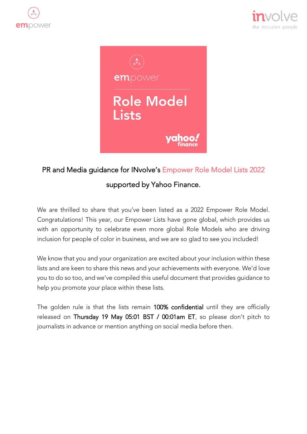





# PR and Media guidance for INvolve's Empower Role Model Lists 2022

## supported by Yahoo Finance.

We are thrilled to share that you've been listed as a 2022 Empower Role Model. Congratulations! This year, our Empower Lists have gone global, which provides us with an opportunity to celebrate even more global Role Models who are driving inclusion for people of color in business, and we are so glad to see you included!

We know that you and your organization are excited about your inclusion within these lists and are keen to share this news and your achievements with everyone. We'd love you to do so too, and we've compiled this useful document that provides guidance to help you promote your place within these lists.

The golden rule is that the lists remain 100% confidential until they are officially released on Thursday 19 May 05:01 BST / 00:01am ET, so please don't pitch to journalists in advance or mention anything on social media before then.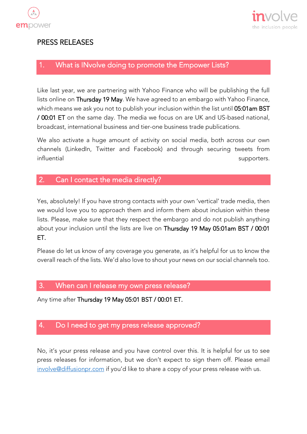



## PRESS RELEASES

## 1. What is INvolve doing to promote the Empower Lists?

Like last year, we are partnering with Yahoo Finance who will be publishing the full lists online on Thursday 19 May. We have agreed to an embargo with Yahoo Finance, which means we ask you not to publish your inclusion within the list until 05:01am BST / 00:01 ET on the same day. The media we focus on are UK and US-based national, broadcast, international business and tier-one business trade publications.

We also activate a huge amount of activity on social media, both across our own channels (LinkedIn, Twitter and Facebook) and through securing tweets from influential supporters.

## 2. Can I contact the media directly?

Yes, absolutely! If you have strong contacts with your own 'vertical' trade media, then we would love you to approach them and inform them about inclusion within these lists. Please, make sure that they respect the embargo and do not publish anything about your inclusion until the lists are live on Thursday 19 May 05:01am BST / 00:01 ET.

Please do let us know of any coverage you generate, as it's helpful for us to know the overall reach of the lists. We'd also love to shout your news on our social channels too.

#### 3. When can I release my own press release?

Any time after Thursday 19 May 05:01 BST / 00:01 ET.

## 4. Do I need to get my press release approved?

No, it's your press release and you have control over this. It is helpful for us to see press releases for information, but we don't expect to sign them off. Please email [involve@diffusionpr.com](mailto:involve@diffusionpr.com) if you'd like to share a copy of your press release with us.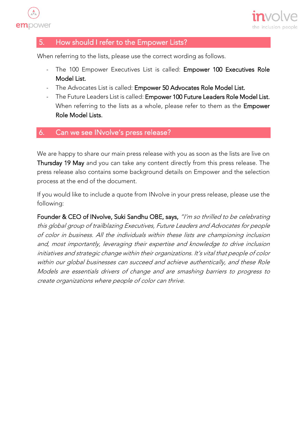



## 5. How should I refer to the Empower Lists?

When referring to the lists, please use the correct wording as follows.

- The 100 Empower Executives List is called: Empower 100 Executives Role Model List.
- The Advocates List is called: Empower 50 Advocates Role Model List.
- The Future Leaders List is called: Empower 100 Future Leaders Role Model List. When referring to the lists as a whole, please refer to them as the **Empower** Role Model Lists.

## 6. Can we see INvolve's press release?

We are happy to share our main press release with you as soon as the lists are live on Thursday 19 May and you can take any content directly from this press release. The press release also contains some background details on Empower and the selection process at the end of the document.

If you would like to include a quote from INvolve in your press release, please use the following:

Founder & CEO of INvolve, Suki Sandhu OBE, says, "I'm so thrilled to be celebrating this global group of trailblazing Executives, Future Leaders and Advocates for people of color in business. All the individuals within these lists are championing inclusion and, most importantly, leveraging their expertise and knowledge to drive inclusion initiatives and strategic change within their organizations. It's vital that people of color within our global businesses can succeed and achieve authentically, and these Role Models are essentials drivers of change and are smashing barriers to progress to create organizations where people of color can thrive.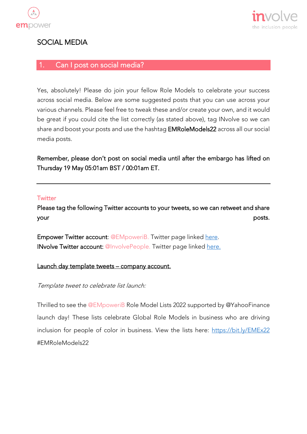



## SOCIAL MEDIA

## 1. Can I post on social media?

Yes, absolutely! Please do join your fellow Role Models to celebrate your success across social media. Below are some suggested posts that you can use across your various channels. Please feel free to tweak these and/or create your own, and it would be great if you could cite the list correctly (as stated above), tag INvolve so we can share and boost your posts and use the hashtag EMRoleModels22 across all our social media posts.

Remember, please don't post on social media until after the embargo has lifted on Thursday 19 May 05:01am BST / 00:01am ET.

#### **Twitter**

Please tag the following Twitter accounts to your tweets, so we can retweet and share your posts.

Empower Twitter account: @EMpoweriB. Twitter page linked [here.](https://twitter.com/EMpoweriB) INvolve Twitter account: @InvolvePeople. Twitter page linked [here.](https://twitter.com/INvolvePeople)

#### Launch day template tweets - company account.

#### Template tweet to celebrate list launch:

Thrilled to see the @EMpoweriB Role Model Lists 2022 supported by @YahooFinance launch day! These lists celebrate Global Role Models in business who are driving inclusion for people of color in business. View the lists here: <https://bit.ly/EMEx22> #EMRoleModels22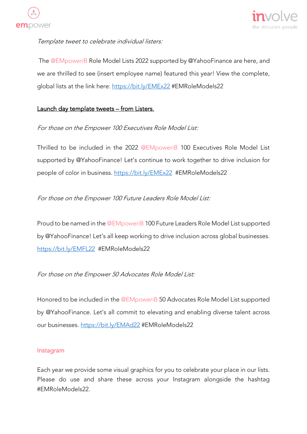



#### Template tweet to celebrate individual listers:

The @EMpoweriB Role Model Lists 2022 supported by @YahooFinance are here, and we are thrilled to see (insert employee name) featured this year! View the complete, global lists at the link here:<https://bit.ly/EMEx22> #EMRoleModels22

#### Launch day template tweets - from Listers.

#### For those on the Empower 100 Executives Role Model List:

Thrilled to be included in the 2022 @EMpoweriB 100 Executives Role Model List supported by @YahooFinance! Let's continue to work together to drive inclusion for people of color in business.<https://bit.ly/EMEx22> #EMRoleModels22

#### For those on the Empower 100 Future Leaders Role Model List:

Proud to be named in the @EMpoweriB 100 Future Leaders Role Model List supported by @YahooFinance! Let's all keep working to drive inclusion across global businesses. <https://bit.ly/EMFL22> #EMRoleModels22

#### For those on the Empower 50 Advocates Role Model List:

Honored to be included in the @EMpoweriB 50 Advocates Role Model List supported by @YahooFinance. Let's all commit to elevating and enabling diverse talent across our businesses.<https://bit.ly/EMAd22> #EMRoleModels22

#### Instagram

Each year we provide some visual graphics for you to celebrate your place in our lists. Please do use and share these across your Instagram alongside the hashtag #EMRoleModels22.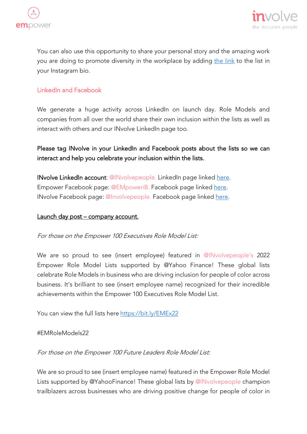



You can also use this opportunity to share your personal story and the amazing work you are doing to promote diversity in the workplace by adding [the link](https://bit.ly/EMEx22) to the list in your Instagram bio.

#### LinkedIn and Facebook

We generate a huge activity across LinkedIn on launch day. Role Models and companies from all over the world share their own inclusion within the lists as well as interact with others and our INvolve LinkedIn page too.

## Please tag INvolve in your LinkedIn and Facebook posts about the lists so we can interact and help you celebrate your inclusion within the lists.

INvolve LinkedIn account: @INvolvepeople. LinkedIn page linked [here.](https://www.linkedin.com/company/involvepeople) Empower Facebook page: @EMpoweriB. Facebook page linked [here.](https://www.facebook.com/EMpoweriB) INvolve Facebook page: @Involvepeople. Facebook page linked [here.](https://www.facebook.com/involvepeople)

#### Launch day post – company account.

#### For those on the Empower 100 Executives Role Model List:

We are so proud to see (insert employee) featured in @INvolvepeople's 2022 Empower Role Model Lists supported by @Yahoo Finance! These global lists celebrate Role Models in business who are driving inclusion for people of color across business. It's brilliant to see (insert employee name) recognized for their incredible achievements within the Empower 100 Executives Role Model List.

You can view the full lists here <https://bit.ly/EMEx22>

#### #EMRoleModels22

For those on the Empower 100 Future Leaders Role Model List:

We are so proud to see (insert employee name) featured in the Empower Role Model Lists supported by @YahooFinance! These global lists by @INvolvepeople champion trailblazers across businesses who are driving positive change for people of color in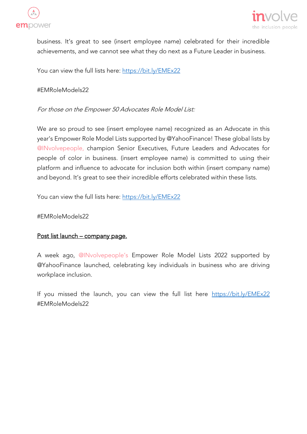



business. It's great to see (insert employee name) celebrated for their incredible achievements, and we cannot see what they do next as a Future Leader in business.

You can view the full lists here:<https://bit.ly/EMEx22>

#### #EMRoleModels22

#### For those on the Empower 50 Advocates Role Model List:

We are so proud to see (insert employee name) recognized as an Advocate in this year's Empower Role Model Lists supported by @YahooFinance! These global lists by @INvolvepeople, champion Senior Executives, Future Leaders and Advocates for people of color in business. (insert employee name) is committed to using their platform and influence to advocate for inclusion both within (insert company name) and beyond. It's great to see their incredible efforts celebrated within these lists.

You can view the full lists here:<https://bit.ly/EMEx22>

#EMRoleModels22

#### Post list launch – company page.

A week ago, @INvolvepeople's Empower Role Model Lists 2022 supported by @YahooFinance launched, celebrating key individuals in business who are driving workplace inclusion.

If you missed the launch, you can view the full list here <https://bit.ly/EMEx22> #EMRoleModels22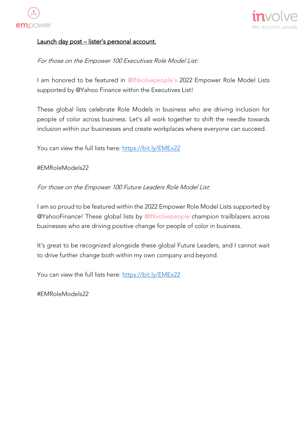



#### Launch day post - lister's personal account.

For those on the Empower 100 Executives Role Model List:

I am honored to be featured in @INvolvepeople's 2022 Empower Role Model Lists supported by @Yahoo Finance within the Executives List!

These global lists celebrate Role Models in business who are driving inclusion for people of color across business. Let's all work together to shift the needle towards inclusion within our businesses and create workplaces where everyone can succeed.

You can view the full lists here: <https://bit.ly/EMEx22>

#### #EMRoleModels22

For those on the Empower 100 Future Leaders Role Model List:

I am so proud to be featured within the 2022 Empower Role Model Lists supported by @YahooFinance! These global lists by @INvolvepeople champion trailblazers across businesses who are driving positive change for people of color in business.

It's great to be recognized alongside these global Future Leaders, and I cannot wait to drive further change both within my own company and beyond.

You can view the full lists here:<https://bit.ly/EMEx22>

#EMRoleModels22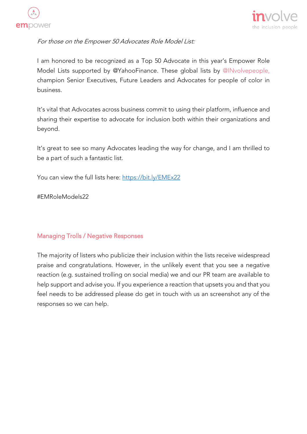



For those on the Empower 50 Advocates Role Model List:

I am honored to be recognized as a Top 50 Advocate in this year's Empower Role Model Lists supported by @YahooFinance. These global lists by @INvolvepeople, champion Senior Executives, Future Leaders and Advocates for people of color in business.

It's vital that Advocates across business commit to using their platform, influence and sharing their expertise to advocate for inclusion both within their organizations and beyond.

It's great to see so many Advocates leading the way for change, and I am thrilled to be a part of such a fantastic list.

You can view the full lists here:<https://bit.ly/EMEx22>

#EMRoleModels22

#### Managing Trolls / Negative Responses

The majority of listers who publicize their inclusion within the lists receive widespread praise and congratulations. However, in the unlikely event that you see a negative reaction (e.g. sustained trolling on social media) we and our PR team are available to help support and advise you. If you experience a reaction that upsets you and that you feel needs to be addressed please do get in touch with us an screenshot any of the responses so we can help.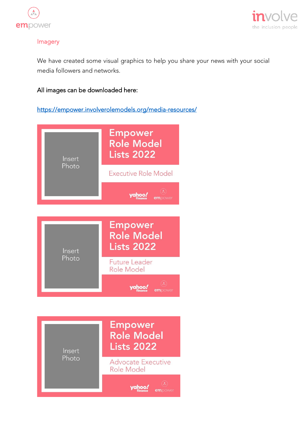



#### Imagery

We have created some visual graphics to help you share your news with your social media followers and networks.

#### All images can be downloaded here:

<https://empower.involverolemodels.org/media-resources/>



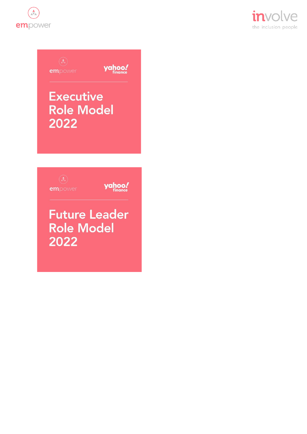







yahoo!

## **Future Leader Role Model** 2022